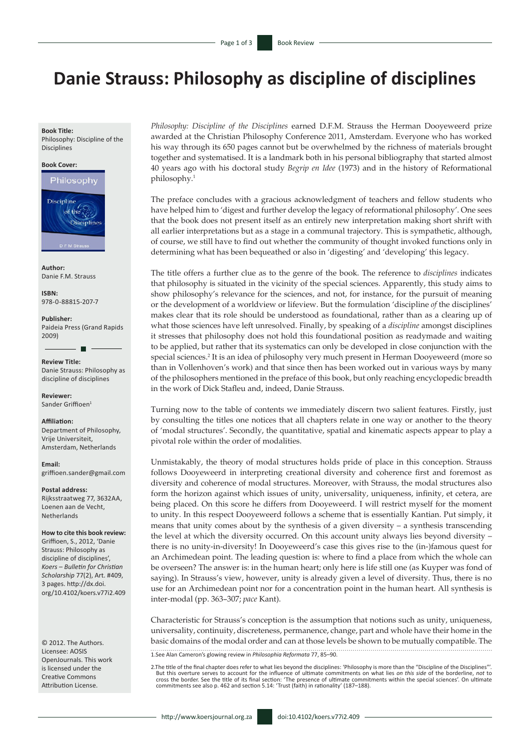# **Danie Strauss: Philosophy as discipline of disciplines**

#### **Book Title:**

Philosophy: Discipline of the Disciplines

#### **Book Cover:**



**Author:** Danie F.M. Strauss

**ISBN:** 978-0-88815-207-7

**Publisher:** Paideia Press (Grand Rapids 2009)

**Review Title:** Danie Strauss: Philosophy as discipline of disciplines

**Reviewer:** Sander Griffioen<sup>1</sup>

#### **Affiliation:**

Department of Philosophy, Vrije Universiteit, Amsterdam, Netherlands

**Email:** [griffioen.sander@gmail.com](mailto:griffioen.sander%40gmail.com%0D?subject=)

**Postal address:**  Rijksstraatweg 77, 3632AA, Loenen aan de Vecht, **Netherlands** 

**How to cite this book review:** Griffioen, S., 2012, 'Danie Strauss: Philosophy as discipline of disciplines', *Koers – Bulletin for Christian Scholarship* 77(2), Art. #409, 3 pages. [http://dx.doi.](http://dx.doi.org/10.4102/koers.v77i1.409) [org/10.4102/koers.v77i2.409](http://dx.doi.org/10.4102/koers.v77i1.409)

© 2012. The Authors. Licensee: AOSIS OpenJournals. This work is licensed under the Creative Commons Attribution License.

*Philosophy: Discipline of the Disciplines* earned D.F.M. Strauss the Herman Dooyeweerd prize awarded at the Christian Philosophy Conference 2011, Amsterdam. Everyone who has worked his way through its 650 pages cannot but be overwhelmed by the richness of materials brought together and systematised. It is a landmark both in his personal bibliography that started almost 40 years ago with his doctoral study *Begrip en Idee* (1973) and in the history of Reformational philosophy.1

The preface concludes with a gracious acknowledgment of teachers and fellow students who have helped him to 'digest and further develop the legacy of reformational philosophy'. One sees that the book does not present itself as an entirely new interpretation making short shrift with all earlier interpretations but as a stage in a communal trajectory. This is sympathetic, although, of course, we still have to find out whether the community of thought invoked functions only in determining what has been bequeathed or also in 'digesting' and 'developing' this legacy.

The title offers a further clue as to the genre of the book. The reference to *disciplines* indicates that philosophy is situated in the vicinity of the special sciences. Apparently, this study aims to show philosophy's relevance for the sciences, and not, for instance, for the pursuit of meaning or the development of a worldview or lifeview. But the formulation 'discipline *of* the disciplines' makes clear that its role should be understood as foundational, rather than as a clearing up of what those sciences have left unresolved. Finally, by speaking of a *discipline* amongst disciplines it stresses that philosophy does not hold this foundational position as readymade and waiting to be applied, but rather that its systematics can only be developed in close conjunction with the special sciences.<sup>2</sup> It is an idea of philosophy very much present in Herman Dooyeweerd (more so than in Vollenhoven's work) and that since then has been worked out in various ways by many of the philosophers mentioned in the preface of this book, but only reaching encyclopedic breadth in the work of Dick Stafleu and, indeed, Danie Strauss.

Turning now to the table of contents we immediately discern two salient features. Firstly, just by consulting the titles one notices that all chapters relate in one way or another to the theory of 'modal structures'. Secondly, the quantitative, spatial and kinematic aspects appear to play a pivotal role within the order of modalities.

Unmistakably, the theory of modal structures holds pride of place in this conception. Strauss follows Dooyeweerd in interpreting creational diversity and coherence first and foremost as diversity and coherence of modal structures. Moreover, with Strauss, the modal structures also form the horizon against which issues of unity, universality, uniqueness, infinity, et cetera, are being placed. On this score he differs from Dooyeweerd. I will restrict myself for the moment to unity. In this respect Dooyeweerd follows a scheme that is essentially Kantian. Put simply, it means that unity comes about by the synthesis of a given diversity – a synthesis transcending the level at which the diversity occurred. On this account unity always lies beyond diversity – there is no unity-in-diversity! In Dooyeweerd's case this gives rise to the (in-)famous quest for an Archimedean point. The leading question is: where to find a place from which the whole can be overseen? The answer is: in the human heart; only here is life still one (as Kuyper was fond of saying). In Strauss's view, however, unity is already given a level of diversity. Thus, there is no use for an Archimedean point nor for a concentration point in the human heart. All synthesis is inter-modal (pp. 363–307; *pace* Kant).

Characteristic for Strauss's conception is the assumption that notions such as unity, uniqueness, universality, continuity, discreteness, permanence, change, part and whole have their home in the basic domains of the modal order and can at those levels be shown to be mutually compatible. The 1.See Alan Cameron's glowing review in *Philosophia Reformata* 77, 85–90.

2.The title of the final chapter does refer to what lies beyond the disciplines: 'Philosophy is more than the "Discipline of the Disciplines".<br>But this overture serves to account for the influence of ultimate commitments o cross the border. See the title of its final section: 'The presence of ultimate commitments within the special sciences'. On ultimate commitments see also p. 462 and section 5.14: 'Trust (faith) in rationality' (187–188).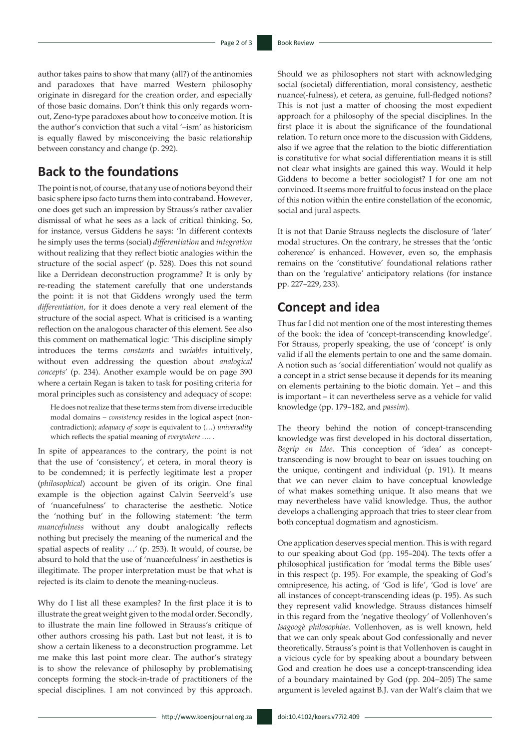author takes pains to show that many (all?) of the antinomies and paradoxes that have marred Western philosophy originate in disregard for the creation order, and especially of those basic domains. Don't think this only regards wornout, Zeno-type paradoxes about how to conceive motion. It is the author's conviction that such a vital '–ism' as historicism is equally flawed by misconceiving the basic relationship between constancy and change (p. 292).

## **Back to the foundations**

The point is not, of course, that any use of notions beyond their basic sphere ipso facto turns them into contraband. However, one does get such an impression by Strauss's rather cavalier dismissal of what he sees as a lack of critical thinking. So, for instance, versus Giddens he says: 'In different contexts he simply uses the terms (social) *differentiation* and *integration*  without realizing that they reflect biotic analogies within the structure of the social aspect' (p. 528). Does this not sound like a Derridean deconstruction programme? It is only by re-reading the statement carefully that one understands the point: it is not that Giddens wrongly used the term *differentiation,* for it does denote a very real element of the structure of the social aspect. What is criticised is a wanting reflection on the analogous character of this element. See also this comment on mathematical logic: 'This discipline simply introduces the terms *constants* and *variables* intuitively, without even addressing the question about *analogical concepts*' (p. 234). Another example would be on page 390 where a certain Regan is taken to task for positing criteria for moral principles such as consistency and adequacy of scope:

He does not realize that these terms stem from diverse irreducible modal domains – *consistency* resides in the logical aspect (noncontradiction); *adequacy of scope* is equivalent to (…) *universality* which reflects the spatial meaning of *everywhere* …. .

In spite of appearances to the contrary, the point is not that the use of 'consistency', et cetera, in moral theory is to be condemned; it is perfectly legitimate lest a proper (*philosophical*) account be given of its origin. One final example is the objection against Calvin Seerveld's use of 'nuancefulness' to characterise the aesthetic. Notice the 'nothing but' in the following statement: 'the term *nuancefulness* without any doubt analogically reflects nothing but precisely the meaning of the numerical and the spatial aspects of reality …' (p. 253). It would, of course, be absurd to hold that the use of 'nuancefulness' in aesthetics is illegitimate. The proper interpretation must be that what is rejected is its claim to denote the meaning-nucleus.

Why do I list all these examples? In the first place it is to illustrate the great weight given to the modal order. Secondly, to illustrate the main line followed in Strauss's critique of other authors crossing his path. Last but not least, it is to show a certain likeness to a deconstruction programme. Let me make this last point more clear. The author's strategy is to show the relevance of philosophy by problematising concepts forming the stock-in-trade of practitioners of the special disciplines. I am not convinced by this approach.

Should we as philosophers not start with acknowledging social (societal) differentiation, moral consistency, aesthetic nuance(-fulness), et cetera, as genuine, full-fledged notions? This is not just a matter of choosing the most expedient approach for a philosophy of the special disciplines. In the first place it is about the significance of the foundational relation. To return once more to the discussion with Giddens, also if we agree that the relation to the biotic differentiation is constitutive for what social differentiation means it is still not clear what insights are gained this way. Would it help Giddens to become a better sociologist? I for one am not convinced. It seems more fruitful to focus instead on the place of this notion within the entire constellation of the economic, social and jural aspects.

It is not that Danie Strauss neglects the disclosure of 'later' modal structures. On the contrary, he stresses that the 'ontic coherence' is enhanced. However, even so, the emphasis remains on the 'constitutive' foundational relations rather than on the 'regulative' anticipatory relations (for instance pp. 227–229, 233).

### **Concept and idea**

Thus far I did not mention one of the most interesting themes of the book: the idea of 'concept-transcending knowledge'. For Strauss, properly speaking, the use of 'concept' is only valid if all the elements pertain to one and the same domain. A notion such as 'social differentiation' would not qualify as a concept in a strict sense because it depends for its meaning on elements pertaining to the biotic domain. Yet – and this is important – it can nevertheless serve as a vehicle for valid knowledge (pp. 179–182, and *passim*).

The theory behind the notion of concept-transcending knowledge was first developed in his doctoral dissertation, *Begrip en Idee*. This conception of 'idea' as concepttranscending is now brought to bear on issues touching on the unique, contingent and individual (p. 191). It means that we can never claim to have conceptual knowledge of what makes something unique. It also means that we may nevertheless have valid knowledge. Thus, the author develops a challenging approach that tries to steer clear from both conceptual dogmatism and agnosticism.

One application deserves special mention. This is with regard to our speaking about God (pp. 195–204). The texts offer a philosophical justification for 'modal terms the Bible uses' in this respect (p. 195). For example, the speaking of God's omnipresence, his acting, of 'God is life', 'God is love' are all instances of concept-transcending ideas (p. 195). As such they represent valid knowledge. Strauss distances himself in this regard from the 'negative theology' of Vollenhoven's *Isagoogè philosophiae*. Vollenhoven, as is well known, held that we can only speak about God confessionally and never theoretically. Strauss's point is that Vollenhoven is caught in a vicious cycle for by speaking about a boundary between God and creation he does use a concept-transcending idea of a boundary maintained by God (pp. 204−205) The same argument is leveled against B.J. van der Walt's claim that we